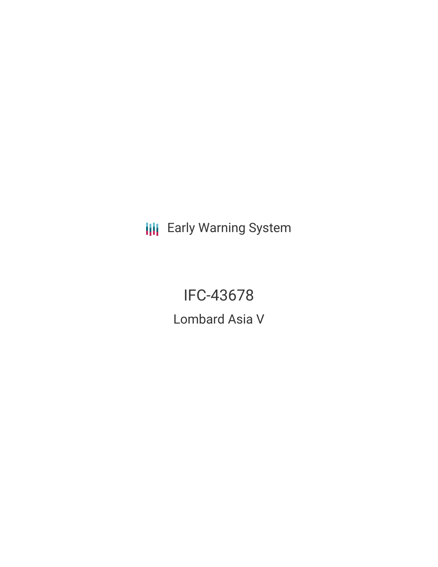**III** Early Warning System

IFC-43678 Lombard Asia V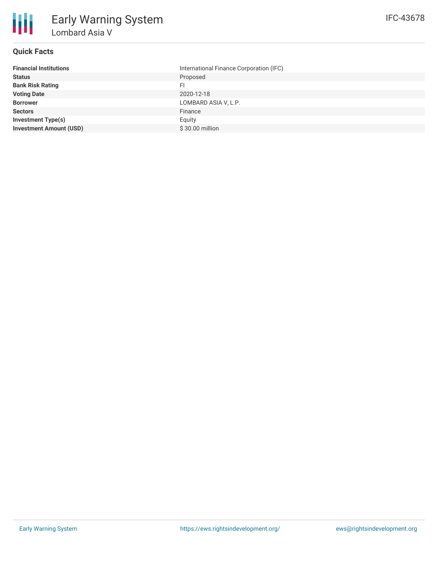

# **Quick Facts**

| International Finance Corporation (IFC) |
|-----------------------------------------|
| Proposed                                |
| FI                                      |
| 2020-12-18                              |
| LOMBARD ASIA V, L.P.                    |
| Finance                                 |
| Equity                                  |
| \$30.00 million                         |
|                                         |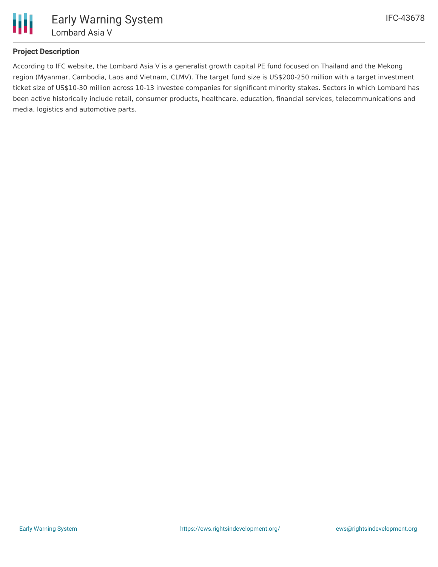

# **Project Description**

According to IFC website, the Lombard Asia V is a generalist growth capital PE fund focused on Thailand and the Mekong region (Myanmar, Cambodia, Laos and Vietnam, CLMV). The target fund size is US\$200-250 million with a target investment ticket size of US\$10-30 million across 10-13 investee companies for significant minority stakes. Sectors in which Lombard has been active historically include retail, consumer products, healthcare, education, financial services, telecommunications and media, logistics and automotive parts.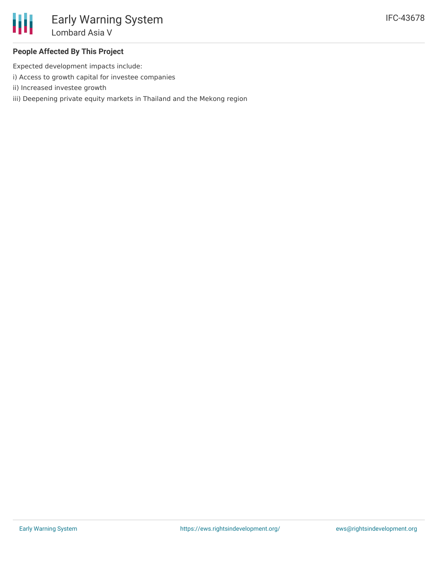## **People Affected By This Project**

Expected development impacts include:

- i) Access to growth capital for investee companies
- ii) Increased investee growth
- iii) Deepening private equity markets in Thailand and the Mekong region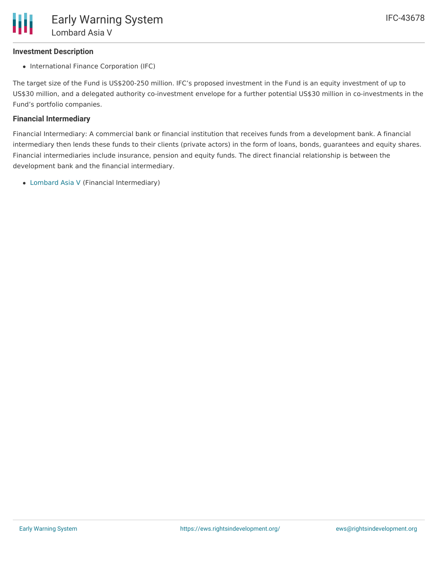### **Investment Description**

• International Finance Corporation (IFC)

The target size of the Fund is US\$200-250 million. IFC's proposed investment in the Fund is an equity investment of up to US\$30 million, and a delegated authority co-investment envelope for a further potential US\$30 million in co-investments in the Fund's portfolio companies.

## **Financial Intermediary**

Financial Intermediary: A commercial bank or financial institution that receives funds from a development bank. A financial intermediary then lends these funds to their clients (private actors) in the form of loans, bonds, guarantees and equity shares. Financial intermediaries include insurance, pension and equity funds. The direct financial relationship is between the development bank and the financial intermediary.

[Lombard](file:///actor/3599/) Asia V (Financial Intermediary)